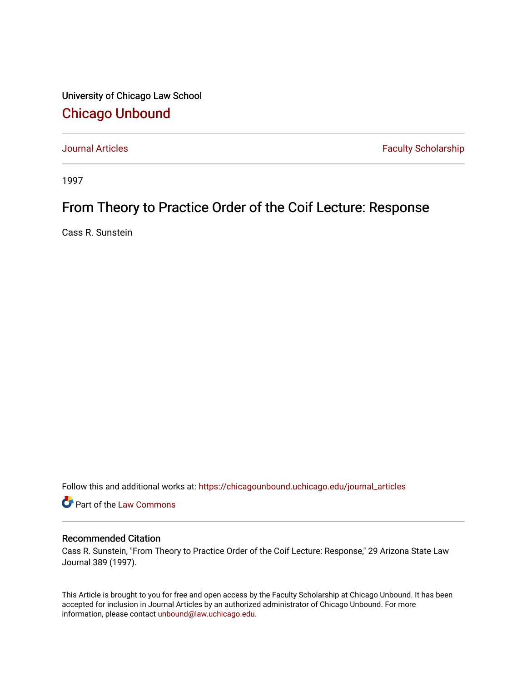University of Chicago Law School [Chicago Unbound](https://chicagounbound.uchicago.edu/)

[Journal Articles](https://chicagounbound.uchicago.edu/journal_articles) **Faculty Scholarship Faculty Scholarship** 

1997

# From Theory to Practice Order of the Coif Lecture: Response

Cass R. Sunstein

Follow this and additional works at: [https://chicagounbound.uchicago.edu/journal\\_articles](https://chicagounbound.uchicago.edu/journal_articles?utm_source=chicagounbound.uchicago.edu%2Fjournal_articles%2F8382&utm_medium=PDF&utm_campaign=PDFCoverPages) 

Part of the [Law Commons](http://network.bepress.com/hgg/discipline/578?utm_source=chicagounbound.uchicago.edu%2Fjournal_articles%2F8382&utm_medium=PDF&utm_campaign=PDFCoverPages)

## Recommended Citation

Cass R. Sunstein, "From Theory to Practice Order of the Coif Lecture: Response," 29 Arizona State Law Journal 389 (1997).

This Article is brought to you for free and open access by the Faculty Scholarship at Chicago Unbound. It has been accepted for inclusion in Journal Articles by an authorized administrator of Chicago Unbound. For more information, please contact [unbound@law.uchicago.edu](mailto:unbound@law.uchicago.edu).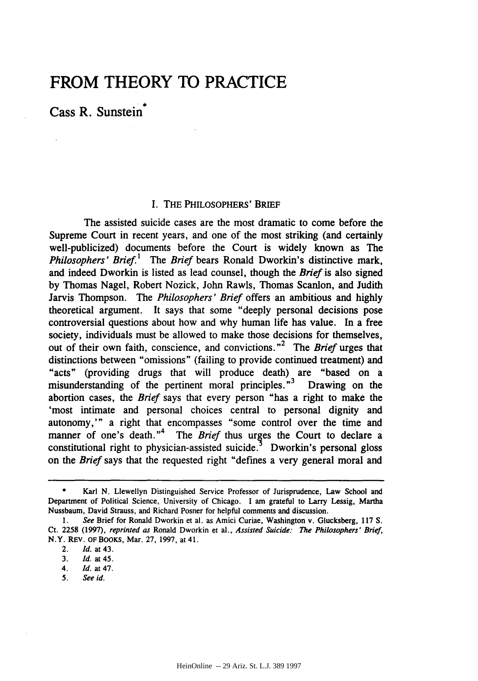# **FROM THEORY TO PRACTICE**

Cass R. Sunstein

### I. THE PHILOSOPHERS' BRIEF

The assisted suicide cases are the most dramatic to come before the Supreme Court in recent years, and one of the most striking (and certainly well-publicized) documents before the Court is widely known as The *Philosophers' Brief.'* The *Brief* bears Ronald Dworkin's distinctive mark, and indeed Dworkin is listed as lead counsel, though the *Brief* is also signed by Thomas Nagel, Robert Nozick, John Rawls, Thomas Scanlon, and Judith Jarvis Thompson. The *Philosophers' Brief* offers an ambitious and highly theoretical argument. It says that some "deeply personal decisions pose controversial questions about how and why human life has value. In a free society, individuals must be allowed to make those decisions for themselves, out of their own faith, conscience, and convictions.<sup>"</sup> The *Brief* urges that distinctions between "omissions" (failing to provide continued treatment) and "acts" (providing drugs that will produce death) are "based on a misunderstanding of the pertinent moral principles. **"3** Drawing on the abortion cases, the *Brief* says that every person "has a right to make the 'most intimate and personal choices central to personal dignity and autonomy,'" a right that encompasses "some control over the time and manner of one's death."<sup>4</sup> The *Brief* thus urges the Court to declare a constitutional right to physician-assisted suicide.<sup>5</sup> Dworkin's personal gloss on the *Brief* says that the requested right "defines a very general moral and

Karl N. Llewellyn Distinguished Service Professor of Jurisprudence, Law School and Department of Political Science, University of Chicago. I am grateful to Larry Lessig, Martha Nussbaum, David Strauss, and Richard Posner for helpful comments and discussion.

*<sup>1.</sup> See* Brief for Ronald Dworkin et al. as Amici Curiae, Washington v. Glucksberg, 117 **S.** Ct. 2258 (1997), *reprinted as* Ronald Dworkin et al., *Assisted Suicide: The Philosophers' Brief,* N.Y. REV. OFBOOKS, Mar. 27, 1997, at 41.

<sup>2.</sup> *Id.* at 43.

**<sup>3.</sup>** *Id.* at 45.

*<sup>4.</sup> Id.* at 47.

**<sup>5.</sup>** *See id.*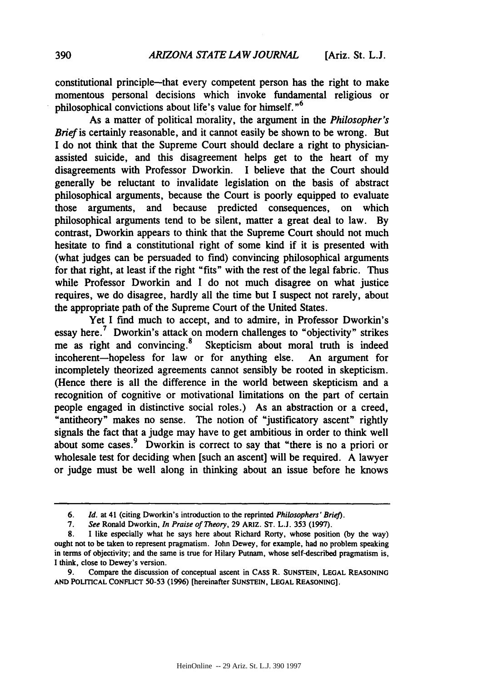constitutional principle-that every competent person has the right to make momentous personal decisions which invoke fundamental religious or philosophical convictions about life's value for himself. **"<sup>6</sup>**

As a matter of political morality, the argument in the *Philosopher's Brief* is certainly reasonable, and it cannot easily be shown to be wrong. But I do not think that the Supreme Court should declare a right to physicianassisted suicide, and this disagreement helps get to the heart of my disagreements with Professor Dworkin. I believe that the Court should generally be reluctant to invalidate legislation on the basis of abstract philosophical arguments, because the Court is poorly equipped to evaluate those arguments, and because predicted consequences, on which philosophical arguments tend to be silent, matter a great deal to law. By contrast, Dworkin appears to think that the Supreme Court should not much hesitate to find a constitutional right of some kind if it is presented with (what judges can be persuaded to find) convincing philosophical arguments for that right, at least if the right "fits" with the rest of the legal fabric. Thus while Professor Dworkin and I do not much disagree on what justice requires, we do disagree, hardly all the time but I suspect not rarely, about the appropriate path of the Supreme Court of the United States.

Yet I find much to accept, and to admire, in Professor Dworkin's essay here.<sup>7</sup> Dworkin's attack on modern challenges to "objectivity" strikes me as right and convincing.<sup>8</sup> Skepticism about moral truth is indeed incoherent-hopeless for law or for anything else. An argument for incompletely theorized agreements cannot sensibly be rooted in skepticism. (Hence there is all the difference in the world between skepticism and a recognition of cognitive or motivational limitations on the part of certain people engaged in distinctive social roles.) As an abstraction or a creed, "antitheory" makes no sense. The notion of "justificatory ascent" rightly signals the fact that a judge may have to get ambitious in order to think well about some cases.<sup>9</sup> Dworkin is correct to say that "there is no a priori or wholesale test for deciding when [such an ascent] will be required. A lawyer or judge must be well along in thinking about an issue before he knows

*<sup>6.</sup> Id.* at 41 (citing Dworkin's introduction to the reprinted *Philosophers' Brief).*

*<sup>7.</sup> See* Ronald Dworkin, *In Praise of Theory,* 29 ARIZ. **ST.** L.J. 353 (1997).

**<sup>8.</sup>** I like especially what he says here about Richard Rorty, whose position **(by** the way) ought not to be taken to represent pragmatism. John Dewey, for example, had no problem speaking in terms of objectivity; and the same is true for Hilary Putnam, whose self-described pragmatism is, I think, close to Dewey's version.

<sup>9.</sup> Compare the discussion of conceptual ascent in CASS R. **SUNSTEIN, LEGAL REASONING AND POLITICAL CONFLICT 50-53** (1996) [hereinafter **SUNSTEIN, LEGAL REASONING].**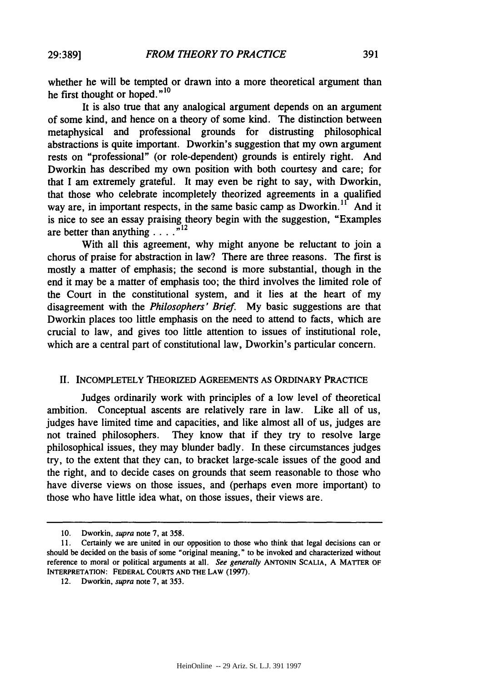whether he will be tempted or drawn into a more theoretical argument than he first thought or hoped."<sup>10</sup>

It is also true that any analogical argument depends on an argument of some kind, and hence on a theory of some kind. The distinction between metaphysical and professional grounds for distrusting philosophical abstractions is quite important. Dworkin's suggestion that my own argument rests on "professional" (or role-dependent) grounds is entirely right. And Dworkin has described my own position with both courtesy and care; for that I am extremely grateful. It may even be right to say, with Dworkin, that those who celebrate incompletely theorized agreements in a qualified way are, in important respects, in the same basic camp as Dworkin.<sup>11</sup> And it is nice to see an essay praising theory begin with the suggestion, "Examples are better than anything  $\ldots$ <sup>n12</sup>

With all this agreement, why might anyone be reluctant to join a chorus of praise for abstraction in law? There are three reasons. The first is mostly a matter of emphasis; the second is more substantial, though in the end it may be a matter of emphasis too; the third involves the limited role of the Court in the constitutional system, and it lies at the heart of my disagreement with the *Philosophers' Brief.* My basic suggestions are that Dworkin places too little emphasis on the need to attend to facts, which are crucial to law, and gives too little attention to issues of institutional role, which are a central part of constitutional law, Dworkin's particular concern.

#### II. INCOMPLETELY THEORIZED **AGREEMENTS AS** ORDINARY **PRACTICE**

Judges ordinarily work with principles of a low level of theoretical ambition. Conceptual ascents are relatively rare in law. Like all of us, judges have limited time and capacities, and like almost all of us, judges are not trained philosophers. They know that if they try to resolve large philosophical issues, they may blunder badly. In these circumstances judges try, to the extent that they can, to bracket large-scale issues of the good and the right, and to decide cases on grounds that seem reasonable to those who have diverse views on those issues, and (perhaps even more important) to those who have little idea what, on those issues, their views are.

<sup>10.</sup> Dworkin, *supra* note 7, at 358.

<sup>11.</sup> Certainly we are united in our opposition to those who think that legal decisions can or should be decided on the basis of some "original meaning," to be invoked and characterized without reference to moral or political arguments at all. *See generally* **ANTONIN** SCALIA, **A** MATTER OF INTERPRETATION: FEDERAL COURTS AND THE LAW (1997).

<sup>12.</sup> Dworkin, *supra* note 7, at **353.**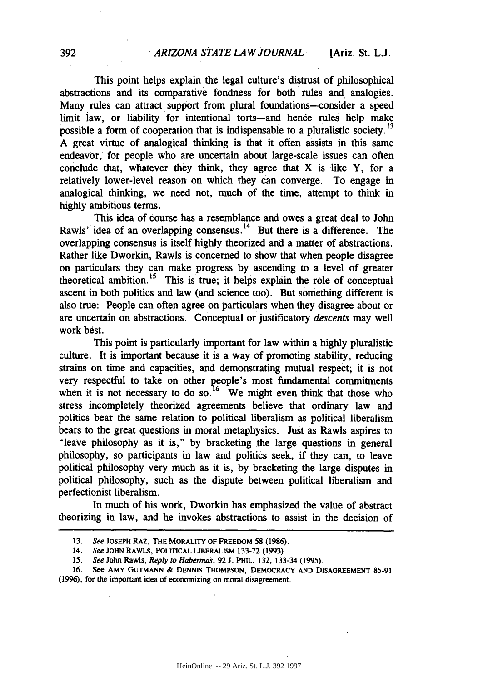This point helps explain the legal culture's distrust of philosophical abstractions and its comparative fondness for both rules and analogies. Many rules can attract support from plural foundations-consider a speed limit law, or liability for intentional torts-and hence rules help make possible a form of cooperation that is indispensable to a pluralistic society.<sup>13</sup> **A** great virtue of analogical thinking is that it often assists in this same endeavor, for people who are uncertain about large-scale issues can often conclude that, whatever they think, they agree that X is like Y, for a relatively lower-level reason on which they can converge. To engage in analogical thinking, we need not, much of the time, attempt to think in **highly** ambitious terms.

This idea of course has a resemblance and owes a great deal to John Rawls' idea of an overlapping consensus.<sup>14</sup> But there is a difference. The overlapping consensus is itself **highly** theorized and a matter of abstractions. Rather like Dworkin, Rawls is concerned to show that when people disagree on particulars they can make progress **by** ascending to a level of greater theoretical ambition.<sup>15</sup> This is true; it helps explain the role of conceptual ascent in both politics and law (and science too). But something different is also true: People can often agree on particulars when they disagree about or are uncertain on abstractions. Conceptual or justificatory *descents* may well work best.

This point is particularly important for law within a **highly** pluralistic culture. It is important because it is a way of promoting stability, reducing strains on time and capacities, and demonstrating mutual respect; it is not very respectful to take on other people's most fundamental commitments when it is not necessary to do so.<sup>16</sup> We might even think that those who stress incompletely theorized agreements believe that ordinary law and politics bear the same relation to political liberalism as political liberalism bears to the great questions in moral metaphysics. Just as Rawls aspires to "leave philosophy as it is," by bracketing the large questions in general philosophy, so participants in law and politics seek, if they can, to leave political philosophy very much as it is, by bracketing the large disputes in political philosophy, such as the dispute between political liberalism and perfectionist liberalism.

In much of his work, Dworkin has emphasized the value of abstract theorizing in law, and he invokes abstractions to assist in the decision of

**<sup>13.</sup>** *See* **JOSEPH RAZ, THE** MORALITY **OF FREEDOM 58 (1986).**

<sup>14.</sup> *See* **JOHN** RAWLS, **POLITICAL LIBERALISM 133-72 (1993).**

**<sup>15.</sup>** *See* John Rawls, *Reply to Habermas,* 92 **J.** PHIL. **132,** 133-34 **(1995).**

**<sup>16.</sup>** See AMY **GUTMANN & DENNIS THOMPSON,** DEMOCRACY **AND DISAGREEMENT 85-91 (1996),** for the important idea of economizing on moral disagreement.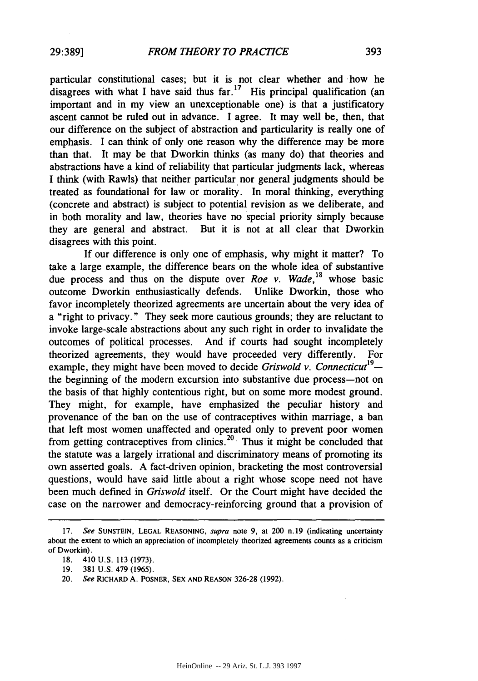particular constitutional cases; but it is not clear whether and how he disagrees with what I have said thus  $far<sup>17</sup>$  His principal qualification (an important and in my view an unexceptionable one) is that a justificatory ascent cannot be ruled out in advance. I agree. It may well be, then, that our difference on the subject of abstraction and particularity is really one of emphasis. I can think of only one reason why the difference may be more than that. It may be that Dworkin thinks (as many do) that theories and abstractions have a kind of reliability that particular judgments lack, whereas I think (with Rawls) that neither particular nor general judgments should be treated as foundational for law or morality. In moral thinking, everything (concrete and abstract) is subject to potential revision as we deliberate, and in both morality and law, theories have no special priority simply because they are general and abstract. But it is not at all clear that Dworkin disagrees with this point.

If our difference is only one of emphasis, why might it matter? To take a large example, the difference bears on the whole idea of substantive due process and thus on the dispute over *Roe v. Wade,18* whose basic outcome Dworkin enthusiastically defends. Unlike Dworkin, those who favor incompletely theorized agreements are uncertain about the very idea of a "right to privacy." They seek more cautious grounds; they are reluctant to invoke large-scale abstractions about any such right in order to invalidate the outcomes of political processes. And if courts had sought incompletely theorized agreements, they would have proceeded very differently. For example, they might have been moved to decide *Griswold v. Connecticut*<sup>19</sup>the beginning of the modem excursion into substantive due process-not on the basis of that highly contentious right, but on some more modest ground. They might, for example, have emphasized the peculiar history and provenance of the ban on the use of contraceptives within marriage, a ban that left most women unaffected and operated only to prevent poor women from getting contraceptives from clinics.<sup>20</sup> Thus it might be concluded that the statute was a largely irrational and discriminatory means of promoting its own asserted goals. A fact-driven opinion, bracketing the most controversial questions, would have said little about a right whose scope need not have been much defined in *Griswold* itself. Or the Court might have decided the case on the narrower and democracy-reinforcing ground that a provision of

**<sup>17.</sup>** See SUNSTEIN, **LEGAL REASONING,** supra note 9, at 200 n.19 (indicating uncertainty about the extent to which an appreciation of incompletely theorized agreements counts as a criticism of Dworkin).

<sup>18. 410</sup> U.S. 113 (1973).

<sup>19. 381</sup> U.S. 479 (1965).

<sup>20.</sup> See RICHARD **A.** POSNER, **SEX AND REASON 326-28 (1992).**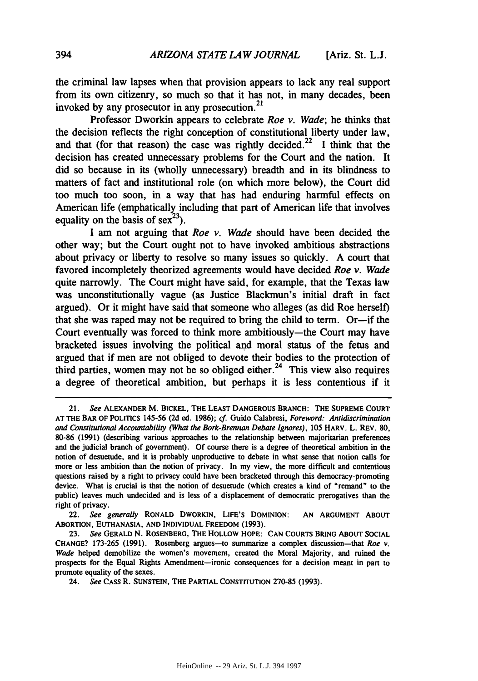the criminal law lapses when that provision appears to lack any real support from its own citizenry, so much so that it has not, in many decades, been invoked by any prosecutor in any prosecution.<sup>21</sup>

Professor Dworkin appears to celebrate *Roe v. Wade;* he thinks that the decision reflects the right conception of constitutional liberty under law, and that (for that reason) the case was rightly decided.<sup>22</sup> I think that the decision has created unnecessary problems for the Court and the nation. It did so because in its (wholly unnecessary) breadth and in its blindness to matters of fact and institutional role (on which more below), the Court did too much too soon, in a way that has had enduring harmful effects on American life (emphatically including that part of American life that involves equality on the basis of  $sex^{23}$ ).

**I** am not arguing that *Roe v. Wade* should have been decided the other way; but the Court ought not to have invoked ambitious abstractions about privacy or liberty to resolve so many issues so quickly. **A** court that favored incompletely theorized agreements would have decided *Roe v. Wade* quite narrowly. The Court might have said, for example, that the Texas law was unconstitutionally vague (as Justice Blackmun's initial draft in fact argued). Or it might have said that someone who alleges (as did Roe herself) that she was raped may not be required to bring the child to term. Or-if the Court eventually was forced to think more ambitiously-the Court may have bracketed issues involving the political and moral status of the fetus and argued that if men are not obliged to devote their bodies to the protection of third parties, women may not be so obliged either.<sup>24</sup> This view also requires a degree of theoretical ambition, but perhaps it is less contentious if it

22. *See generally* **RONALD DWORKIN, LIFE'S DOMINION: AN ARGUMENT ABOUT ABORTION, EUTHANASIA, AND INDIVIDUAL** FREEDOM **(1993).**

<sup>21.</sup> *See* **ALEXANDER** M. **BICKEL, THE LEAST DANGEROUS BRANCH: THE SUPREME COURT AT** THE BAR OF **POLITICS 145-56 (2d** ed. **1986);** *cf.* Guido Calabresi, *Foreword: Antidiscrimination and Constitutional Accountability (What the Bork-Brennan Debate Ignores),* **105** HARV. L. REV. **80, 80-86 (1991)** (describing various approaches to the relationship between majoritarian preferences and the judicial branch of government). **Of** course there is a degree of theoretical ambition in the notion of desuetude, and it is probably unproductive to debate in what sense that notion calls for more or less ambition than the notion of privacy. In my view, the more difficult and contentious questions raised **by** a right to privacy could have been bracketed through this democracy-promoting device. What is crucial is that the notion of desuetude (which creates a kind of "remand" to the public) leaves much undecided and is less of a displacement of democratic prerogatives than the right of privacy.

**<sup>23.</sup>** *See* **GERALD N. ROSENBERG, THE HOLLOW HOPE: CAN COURTS BRING ABOUT SOCIAL CHANGE? 173-265 (1991).** Rosenberg argues-to summarize a complex discussion-that *Roe v. Wade* helped demobilize the women's movement, created the Moral Majority, and ruined the prospects for the Equal Rights Amendment-ironic consequences for a decision meant in part to promote equality of the sexes.

<sup>24.</sup> *See* CASS R. **SUNSTEIN,** THE PARTIAL **CONSTITUTION 270-85 (1993).**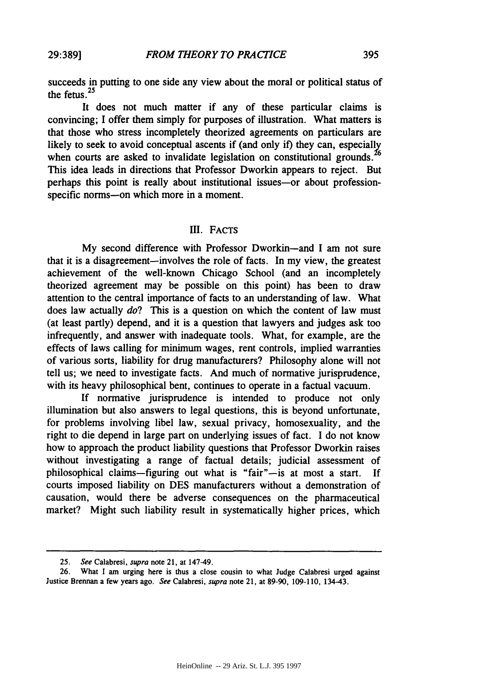succeeds in putting to one side any view about the moral or political status of the fetus.<sup>25</sup>

It does not much matter if any of these particular claims is convincing; I offer them simply for purposes of illustration. What matters is that those who stress incompletely theorized agreements on particulars are likely to seek to avoid conceptual ascents if (and only if) they can, especially when courts are asked to invalidate legislation on constitutional grounds.<sup>26</sup> This idea leads in directions that Professor Dworkin appears to reject. But perhaps this point is really about institutional issues-or about professionspecific norms--on which more in a moment.

#### III. **FACTS**

**My** second difference with Professor Dworkin-and I am not sure that it is a disagreement-involves the role of facts. In my view, the greatest achievement of the well-known Chicago School (and an incompletely theorized agreement may be possible on this point) has been to draw attention to the central importance of facts to an understanding of law. What does law actually *do?* This is a question on which the content of law must (at least partly) depend, and it is a question that lawyers and judges ask too infrequently, and answer with inadequate tools. What, for example, are the effects of laws calling for minimum wages, rent controls, implied warranties of various sorts, liability for drug manufacturers? Philosophy alone will not tell us; we need to investigate facts. And much of normative jurisprudence, with its heavy philosophical bent, continues to operate in a factual vacuum.

**If** normative jurisprudence is intended to produce not only illumination but also answers to legal questions, this is beyond unfortunate, for problems involving libel law, sexual privacy, homosexuality, and the right to die depend in large part on underlying issues of fact. **I** do not know how to approach the product liability questions that Professor Dworkin raises without investigating a range of factual details; judicial assessment of philosophical claims-figuring out what is "fair"-is at most a start. **If** courts imposed liability on DES manufacturers without a demonstration of causation, would there be adverse consequences on the pharmaceutical market? Might such liability result in systematically higher prices, which

<sup>25.</sup> See Calabresi, supra note 21, at 147-49.

<sup>26.</sup> What I am urging here is thus a close cousin to what Judge Calabresi urged against Justice Brennan a few years ago. See Calabresi, supra note 21, at 89-90, 109-110, 134-43.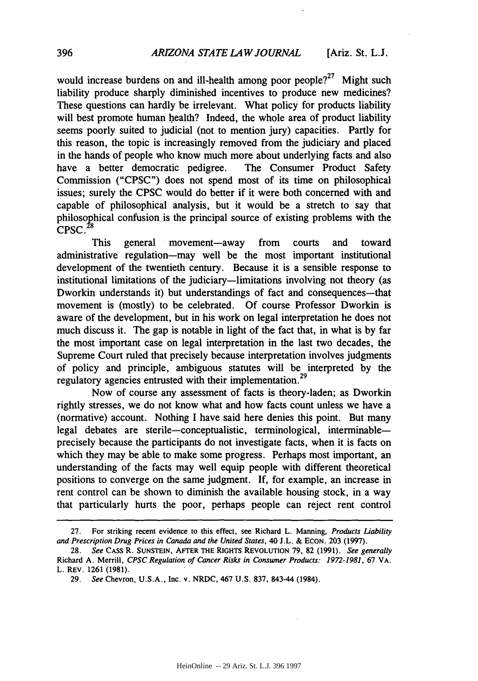would increase burdens on and ill-health among poor people?<sup>27</sup> Might such liability produce sharply diminished incentives to produce new medicines? These questions can hardly be irrelevant. What policy for products liability will best promote human health? Indeed, the whole area of product liability seems poorly suited to judicial (not to mention jury) capacities. Partly for this reason, the topic is increasingly removed from the judiciary and placed in the hands of people who know much more about underlying facts and also have a better democratic pedigree. The Consumer Product Safety Commission ("CPSC") does not spend most of its time on philosophical issues; surely the CPSC would do better if it were both concerned with and capable of philosophical analysis, but it would be a stretch to say that philosophical confusion is the principal source of existing problems with the  $CPSC.<sup>28</sup>$ 

This general movement-away from courts and toward administrative regulation-may well be the most important institutional development of the twentieth century. Because it is a sensible response to institutional limitations of the judiciary-limitations involving not theory (as Dworkin understands it) but understandings of fact and consequences-that movement is (mostly) to be celebrated. Of course Professor Dworkin is aware of the development, but in his work on legal interpretation he does not much discuss it. The gap is notable in light of the fact that, in what is by far the most important case on legal interpretation in the last two decades, the Supreme Court ruled that precisely because interpretation involves judgments of policy and principle, ambiguous statutes will be interpreted by the regulatory agencies entrusted with their implementation.<sup>29</sup>

Now of course any assessment of facts is theory-laden; as Dworkin rightly stresses, we do not know what and how facts count unless we have a (normative) account. Nothing I have said here denies this point. But many legal debates are sterile-conceptualistic, terminological, interminableprecisely because the participants do not investigate facts, when it is facts on which they may be able to make some progress. Perhaps most important, an understanding of the facts may well equip people with different theoretical positions to converge on the same judgment. If, for example, an increase in rent control can be shown to diminish the available housing stock, in a way that particularly hurts the poor, perhaps people can reject rent control

<sup>27.</sup> For striking recent evidence to this effect, see Richard L. Manning, *Products Liability and Prescription Drug Prices in Canada and the United States,* 40 J.L. & ECON. 203 (1997).

<sup>28.</sup> *See* CASS R. **SUNSTEIN,** AFTER THE RIGHTS **REVOLUTION** 79, 82 (1991). *See generally* Richard A. Merrill, *CPSC Regulation of Cancer Risks in Consumer Products: 1972-1981,* 67 VA. L. REV. 1261 (1981).

<sup>29.</sup> *See* Chevron, U.S.A., Inc. v. NRDC, 467 U.S. 837, 843-44 (1984).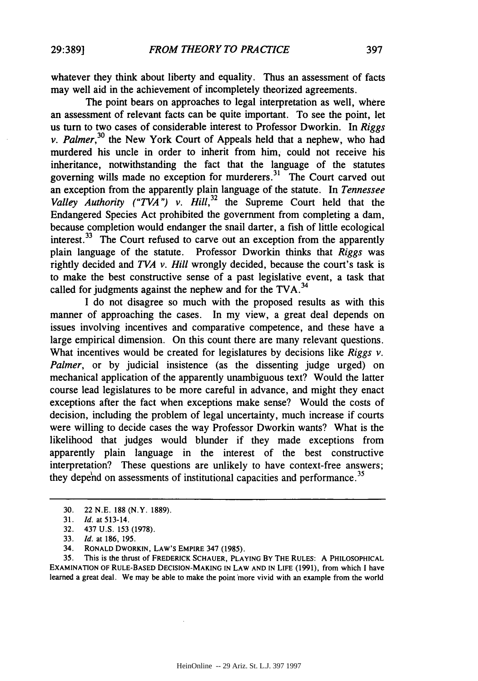whatever they think about liberty and equality. Thus an assessment of facts may well aid in the achievement of incompletely theorized agreements.

The point bears on approaches to legal interpretation as well, where an assessment of relevant facts can be quite important. To see the point, let us turn to two cases of considerable interest to Professor Dworkin. In *Riggs v. Palmer*,<sup>30</sup> the New York Court of Appeals held that a nephew, who had murdered his uncle in order to inherit from him, could not receive his inheritance, notwithstanding the fact that the language of the statutes governing wills made no exception for murderers. 31 The Court carved out an exception from the apparently plain language of the statute. In *Tennessee* Valley Authority ("TVA") *v.* Hill,<sup>32</sup> the Supreme Court held that the Endangered Species Act prohibited the government from completing a dam, because completion would endanger the snail darter, a fish of little ecological interest.<sup>33</sup> The Court refused to carve out an exception from the apparently plain language of the statute. Professor Dworkin thinks that *Riggs* was rightly decided and *TVA v. Hill* wrongly decided, because the court's task is to make the best constructive sense of a past legislative event, a task that called for judgments against the nephew and for the TVA.<sup>34</sup>

I do not disagree so much with the proposed results as with this manner of approaching the cases. In my view, a great deal depends on issues involving incentives and comparative competence, and these have a large empirical dimension. On this count there are many relevant questions. What incentives would be created for legislatures by decisions like *Riggs v. Palmer*, or by judicial insistence (as the dissenting judge urged) on mechanical application of the apparently unambiguous text? Would the latter course lead legislatures to be more careful in advance, and might they enact exceptions after the fact when exceptions make sense? Would the costs of decision, including the problem of legal uncertainty, much increase if courts were willing to decide cases the way Professor Dworkin wants? What is the likelihood that judges would blunder if they made exceptions from apparently plain language in the interest of the best constructive interpretation? These questions are unlikely to have context-free answers; they depend on assessments of institutional capacities and performance.<sup>35</sup>

**35.** This is the thrust **of FREDERICK SCHAUER, PLAYING BY THE RULES: A** PHILOSOPHICAL EXAMINATION OF **RULE-BASED DECISION-MAKING IN** LAW **AND IN LIFE (1991),** from which **I** have learned a great deal. We may be able to make the point more vivid with an example from the world

<sup>30. 22</sup> N.E. 188 (N.Y. 1889).

<sup>31.</sup> *Id.* at 513-14.

<sup>32.</sup> 437 U.S. **153** (1978).

<sup>33.</sup> *Id.* at 186, 195.

<sup>34.</sup> RONALD DWORKIN, LAW'S EMPIRE 347 (1985).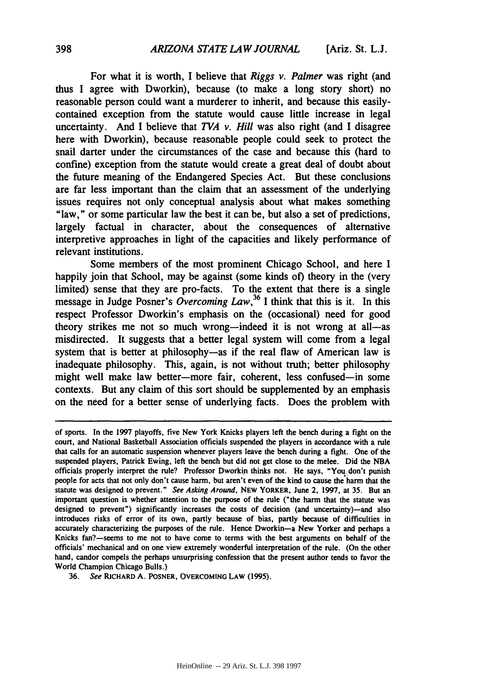For what it is worth, I believe that *Riggs v. Palmer* was right (and thus I agree with Dworkin), because (to make a long story short) no reasonable person could want a murderer to inherit, and because this easilycontained exception from the statute would cause little increase in legal uncertainty. And I believe that *TVA v. Hill* was also right (and I disagree here with Dworkin), because reasonable people could seek to protect the snail darter under the circumstances of the case and because this (hard to confine) exception from the statute would create a great deal of doubt about the future meaning of the Endangered Species Act. But these conclusions are far less important than the claim that an assessment of the underlying issues requires not only conceptual analysis about what makes something "law," or some particular law the best it can be, but also a set of predictions, largely factual in character, about the consequences of alternative interpretive approaches in light of the capacities and likely performance of relevant institutions.

Some members of the most prominent Chicago School, and here I happily join that School, may be against (some kinds of) theory in the (very limited) sense that they are pro-facts. To the extent that there is a single message in Judge Posner's *Overcoming Law*,<sup>36</sup> I think that this is it. In this respect Professor Dworkin's emphasis on the (occasional) need for good theory strikes me not so much wrong-indeed it is not wrong at all-as misdirected. It suggests that a better legal system will come from a legal system that is better at philosophy-as if the real flaw of American law is inadequate philosophy. This, again, is not without truth; better philosophy might well make law better-more fair, coherent, less confused-in some contexts. But any claim of this sort should be supplemented by an emphasis on the need for a better sense of underlying facts. Does the problem with

of sports. In the **1997** playoffs, five New York Knicks players left the bench during a fight on the court, and National Basketball Association officials suspended the players in accordance with a rule that calls for an automatic suspension whenever players leave the bench during a fight. One of the suspended players, Patrick Ewing, left the bench but did not get close to the melee. Did the **NBA** officials properly interpret the rule? Professor Dworkin thinks not. He says, "You don't punish people for acts that not only don't cause harm, but aren't even of the kind to cause the harm that the statute was designed to prevent." *See Asking Around,* **NEW YORKER,** June 2, **1997,** at **35.** But an important question is whether attention to the purpose of the rule ("the harm that the statute was designed to prevent") significantly increases the costs of decision (and uncertainty)—and also introduces risks of error of its own, partly because of bias, partly because of difficulties in accurately characterizing the purposes of the rule. Hence Dworkin-a New Yorker and perhaps a Knicks fan?-seems to me not to have come to terms with the best arguments on behalf of the officials' mechanical and on one view extremely wonderful interpretation of the rule. (On the other hand, candor compels the perhaps unsurprising confession that the present author tends to favor the World Champion Chicago Bulls.)

**<sup>36.</sup>** See **RICHARD A. POSNER, OVERCOMING LAW (1995).**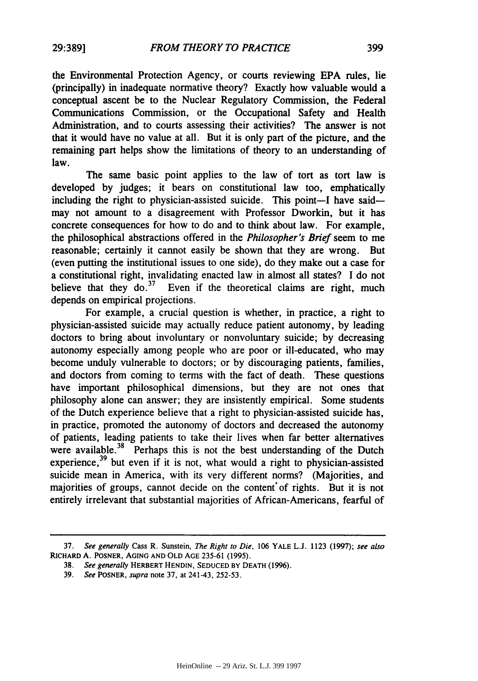the Environmental Protection Agency, or courts reviewing **EPA** rules, lie (principally) in inadequate normative theory? Exactly how valuable would a conceptual ascent be to the Nuclear Regulatory Commission, the Federal Communications Commission, or the Occupational Safety and Health Administration, and to courts assessing their activities? The answer is not that it would have no value at all. But it is only part of the picture, and the remaining part helps show the limitations of theory to an understanding of law.

The same basic point applies to the law of tort as tort law is developed by judges; it bears on constitutional law too, emphatically including the right to physician-assisted suicide. This point-I have saidmay not amount to a disagreement with Professor Dworkin, but it has concrete consequences for how to do and to think about law. For example, the philosophical abstractions offered in the *Philosopher's Brief* seem to me reasonable; certainly it cannot easily be shown that they are wrong. But (even putting the institutional issues to one side), do they make out a case for a constitutional right, invalidating enacted law in almost all states? I do not believe that they  $\cos^{37}$  Even if the theoretical claims are right, much depends on empirical projections.

For example, a crucial question is whether, in practice, a right to physician-assisted suicide may actually reduce patient autonomy, by leading doctors to bring about involuntary or nonvoluntary suicide; by decreasing autonomy especially among people who are poor or ill-educated, who may become unduly vulnerable to doctors; or by discouraging patients, families, and doctors from coming to terms with the fact of death. These questions have important philosophical dimensions, but they are not ones that philosophy alone can answer; they are insistently empirical. Some students of the Dutch experience believe that a right to physician-assisted suicide has, in practice, promoted the autonomy of doctors and decreased the autonomy of patients, leading patients to take their lives when far better alternatives were available.<sup>38</sup> Perhaps this is not the best understanding of the Dutch experience,  $39$  but even if it is not, what would a right to physician-assisted suicide mean in America, with its very different norms? (Majorities, and majorities of groups, cannot decide on the content of rights. But it is not entirely irrelevant that substantial majorities of African-Americans, fearful of

**<sup>37.</sup>** *See generally* Cass **R.** Sunstein, *The Right to Die,* **106 YALE L.J. 1123 (1997);** *see also* RICHARD **A.** POSNER, **AGING AND** OLD **AGE** 235-61 **(1995).**

**<sup>38.</sup>** *See generally* HERBERT **HENDIN, SEDUCED** BY **DEATH** (1996).

**<sup>39.</sup>** *See* POSNER, *supra* note **37,** at 241-43, 252-53.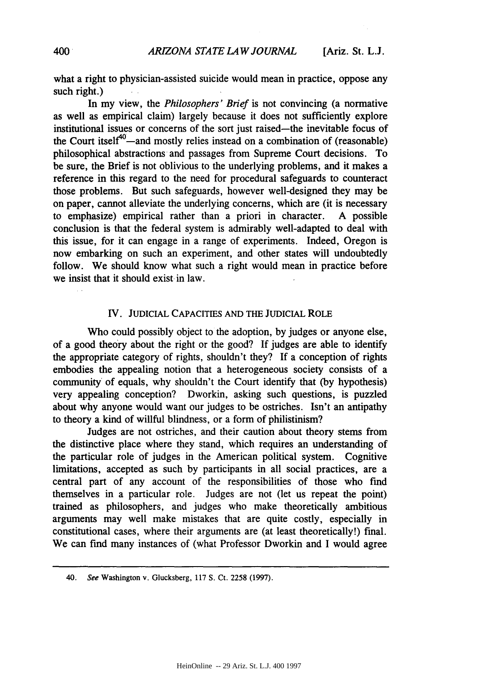what a right to physician-assisted suicide would mean in practice, oppose any such right.)

In my view, the *Philosophers' Brief* is not convincing (a normative as well as empirical claim) largely because it does not sufficiently explore institutional issues or concerns of the sort just raised-the inevitable focus of the Court itself<sup>40</sup>—and mostly relies instead on a combination of (reasonable) philosophical abstractions and passages from Supreme Court decisions. To be sure, the Brief is not oblivious to the underlying problems, and it makes a reference in this regard to the need for procedural safeguards to counteract those problems. But such safeguards, however well-designed they may be on paper, cannot alleviate the underlying concerns, which are (it is necessary to emphasize) empirical rather than a priori in character. A possible conclusion is that the federal system is admirably well-adapted to deal with this issue, for it can engage in a range of experiments. Indeed, Oregon is now embarking on such an experiment, and other states will undoubtedly follow. We should know what such a right would mean in practice before we insist that it should exist in law.

### IV. **JUDICIAL** CAPACITIES **AND** THE JUDICIAL ROLE

Who could possibly object to the adoption, by judges or anyone else, of a good theory about the right or the good? If judges are able to identify the appropriate category of rights, shouldn't they? If a conception of rights embodies the appealing notion that a heterogeneous society consists of a community of equals, why shouldn't the Court identify that (by hypothesis) very appealing conception? Dworkin, asking such questions, is puzzled about why anyone would want our judges to be ostriches. Isn't an antipathy to theory a kind of willful blindness, or a form of philistinism?

Judges are not ostriches, and their caution about theory stems from the distinctive place where they stand, which requires an understanding of the particular role of judges in the American political system. Cognitive limitations, accepted as such by participants in all social practices, are a central part of any account of the responsibilities of those who find themselves in a particular role. Judges are not (let us repeat the point) trained as philosophers, and judges who make theoretically ambitious arguments may well make mistakes that are quite costly, especially in constitutional cases, where their arguments are (at least theoretically!) final. We can find many instances of (what Professor Dworkin and I would agree

<sup>40.</sup> See Washington v. Glucksberg, 117 S. Ct. 2258 (1997).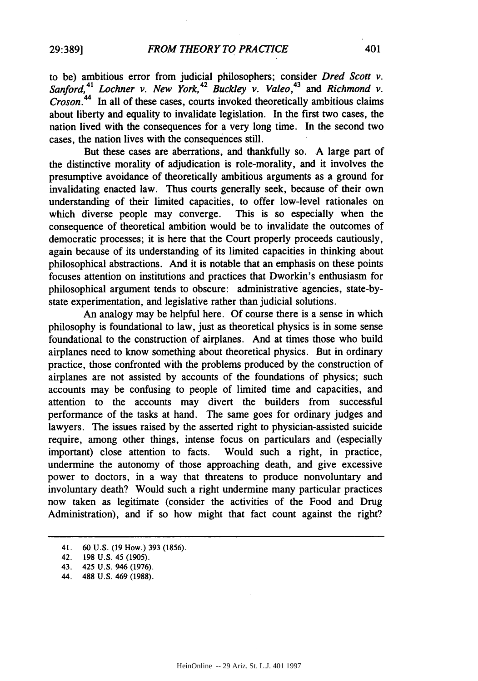to be) ambitious error from judicial philosophers; consider *Dred Scott v.* 41 42 43 *Sanford, Lochner v. New York, Buckley v. Valeo,* and *Richmond v. Croson.44* In all of these cases, courts invoked theoretically ambitious claims about liberty and equality to invalidate legislation. In the first two cases, the nation lived with the consequences for a very long time. In the second two cases, the nation lives with the consequences still.

But these cases are aberrations, and thankfully so. A large part of the distinctive morality of adjudication is role-morality, and it involves the presumptive avoidance of theoretically ambitious arguments as a ground for invalidating enacted law. Thus courts generally seek, because of their own understanding of their limited capacities, to offer low-level rationales on which diverse people may converge. This is so especially when the consequence of theoretical ambition would be to invalidate the outcomes of democratic processes; it is here that the Court properly proceeds cautiously, again because of its understanding of its limited capacities in thinking about philosophical abstractions. And it is notable that an emphasis on these points focuses attention on institutions and practices that Dworkin's enthusiasm for philosophical argument tends to obscure: administrative agencies, state-bystate experimentation, and legislative rather than judicial solutions.

An analogy may be helpful here. Of course there is a sense in which philosophy is foundational to law, just as theoretical physics is in some sense foundational to the construction of airplanes. And at times those who build airplanes need to know something about theoretical physics. But in ordinary practice, those confronted with the problems produced by the construction of airplanes are not assisted by accounts of the foundations of physics; such accounts may be confusing to people of limited time and capacities, and attention to the accounts may divert the builders from successful performance of the tasks at hand. The same goes for ordinary judges and lawyers. The issues raised by the asserted right to physician-assisted suicide require, among other things, intense focus on particulars and (especially important) close attention to facts. Would such a right, in practice, undermine the autonomy of those approaching death, and give excessive power to doctors, in a way that threatens to produce nonvoluntary and involuntary death? Would such a right undermine many particular practices now taken as legitimate (consider the activities of the Food and Drug Administration), and if so how might that fact count against the right?

<sup>41. 60</sup> U.S. (19 How.) 393 (1856).

<sup>42. 198</sup> U.S. 45 (1905).

<sup>43. 425</sup> U.S. 946 (1976).

<sup>44. 488</sup> U.S. 469 (1988).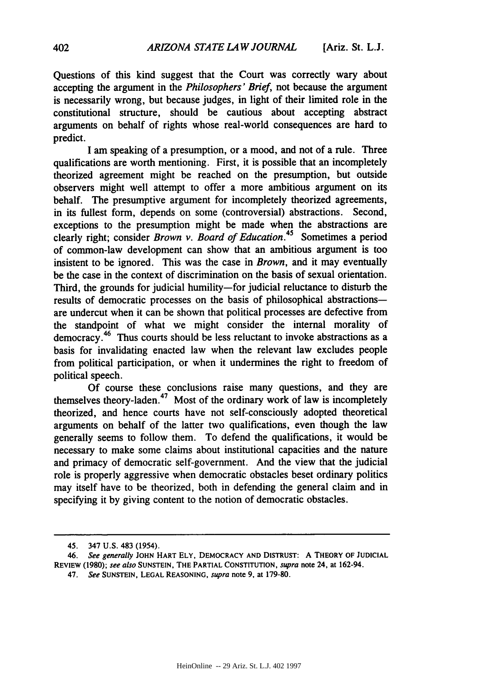Questions of this kind suggest that the Court was correctly wary about accepting the argument in the *Philosophers' Brief,* not because the argument is necessarily wrong, but because judges, in light of their limited role in the constitutional structure, should be cautious about accepting abstract arguments on behalf of rights whose real-world consequences are hard to predict.

I am speaking of a presumption, or a mood, and not of a rule. Three qualifications are worth mentioning. First, it is possible that an incompletely theorized agreement might be reached on the presumption, but outside observers might well attempt to offer a more ambitious argument on its behalf. The presumptive argument for incompletely theorized agreements, in its fullest form, depends on some (controversial) abstractions. Second, exceptions to the presumption might be made when the abstractions are clearly right; consider *Brown v. Board of Education.45* Sometimes a period of common-law development can show that an ambitious argument is too insistent to be ignored. This was the case in *Brown,* and it may eventually be the case in the context of discrimination on the basis of sexual orientation. Third, the grounds for judicial humility-for judicial reluctance to disturb the results of democratic processes on the basis of philosophical abstractionsare undercut when it can be shown that political processes are defective from the standpoint of what we might consider the internal morality of democracy.46 Thus courts should be less reluctant to invoke abstractions as a basis for invalidating enacted law when the relevant law excludes people from political participation, or when it undermines the right to freedom of political speech.

Of course these conclusions raise many questions, and they are themselves theory-laden.<sup>47</sup> Most of the ordinary work of law is incompletely theorized, and hence courts have not self-consciously adopted theoretical arguments on behalf of the latter two qualifications, even though the law generally seems to follow them. To defend the qualifications, it would be necessary to make some claims about institutional capacities and the nature and primacy of democratic self-government. And the view that the judicial role is properly aggressive when democratic obstacles beset ordinary politics may itself have to be theorized, both in defending the general claim and in specifying it by giving content to the notion of democratic obstacles.

47. *See* **SUNSTEIN, LEGAL REASONING,** *supra* note 9, at 179-80.

<sup>45. 347</sup> U.S. 483 (1954).

*<sup>46.</sup> See generally* **JOHN** HART ELY, DEMOCRACY **AND DISTRUST: A** THEORY OF **JUDICIAL** REVIEW (1980); *see also* **SUNSTEIN,** THE PARTIAL CONSTITUTION, *supra* note 24, at 162-94.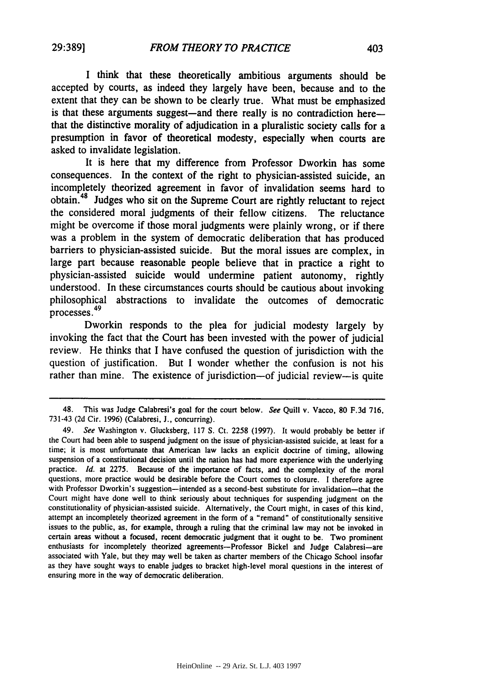**I** think that these theoretically ambitious arguments should be accepted **by** courts, as indeed they largely have been, because and to the extent that they can be shown to be clearly true. What must be emphasized is that these arguments suggest—and there really is no contradiction here that the distinctive morality of adjudication in a pluralistic society calls for a presumption in favor of theoretical modesty, especially when courts are asked to invalidate legislation.

It is here that my difference from Professor Dworkin has some consequences. In the context of the right to physician-assisted suicide, an incompletely theorized agreement in favor of invalidation seems hard to obtain.<sup>48</sup> Judges who sit on the Supreme Court are rightly reluctant to reject the considered moral judgments of their fellow citizens. The reluctance might be overcome if those moral judgments were plainly wrong, or if there was a problem in the system of democratic deliberation that has produced barriers to physician-assisted suicide. But the moral issues are complex, in large part because reasonable people believe that in practice a right to physician-assisted suicide would undermine patient autonomy, rightly understood. In these circumstances courts should be cautious about invoking philosophical abstractions to invalidate the outcomes of democratic <sup>49</sup> processes **.**

Dworkin responds to the plea for judicial modesty largely **by** invoking the fact that the Court has been invested with the power of judicial review. He thinks that **I** have confused the question of jurisdiction with the question of justification. But **I** wonder whether the confusion is not his rather than mine. The existence of jurisdiction-of judicial review-is quite

<sup>48.</sup> This was Judge Calabresi's goal for the court below. *See* Quill v. Vacco, **80 F.3d 716, 731-43 (2d** Cir. **1996)** (Calabresi, **J.,** concurring).

<sup>49.</sup> *See* Washington v. Glucksberg, **117 S.** Ct. **2258 (1997).** It would probably be better if the Court had been able to suspend judgment on the issue of physician-assisted suicide, at least for a time; it is most unfortunate that American law lacks an explicit doctrine of timing, allowing suspension of a constitutional decision until the nation has had more experience with the underlying practice. *Id.* at **2275.** Because of the importance of facts, and the complexity of the moral questions, more practice would be desirable before the Court comes to closure. **I** therefore agree with Professor Dworkin's suggestion-intended as a second-best substitute for invalidation-that the Court might have done well to think seriously about techniques for suspending judgment on the constitutionality of physician-assisted suicide. Alternatively, the Court might, in cases of this kind, attempt an incompletely theorized agreement in the form of a "remand" of constitutionally sensitive issues to the public, as, for example, through a ruling that the criminal law may not be invoked in certain areas without a focused, recent democratic judgment that it ought to be. Two prominent enthusiasts for incompletely theorized agreements-Professor Bickel and Judge Calabresi-are associated with Yale, but they may well be taken as charter members of the Chicago School insofar as they have sought ways to enable judges to bracket high-level moral questions in the interest of ensuring more in the way of democratic deliberation.